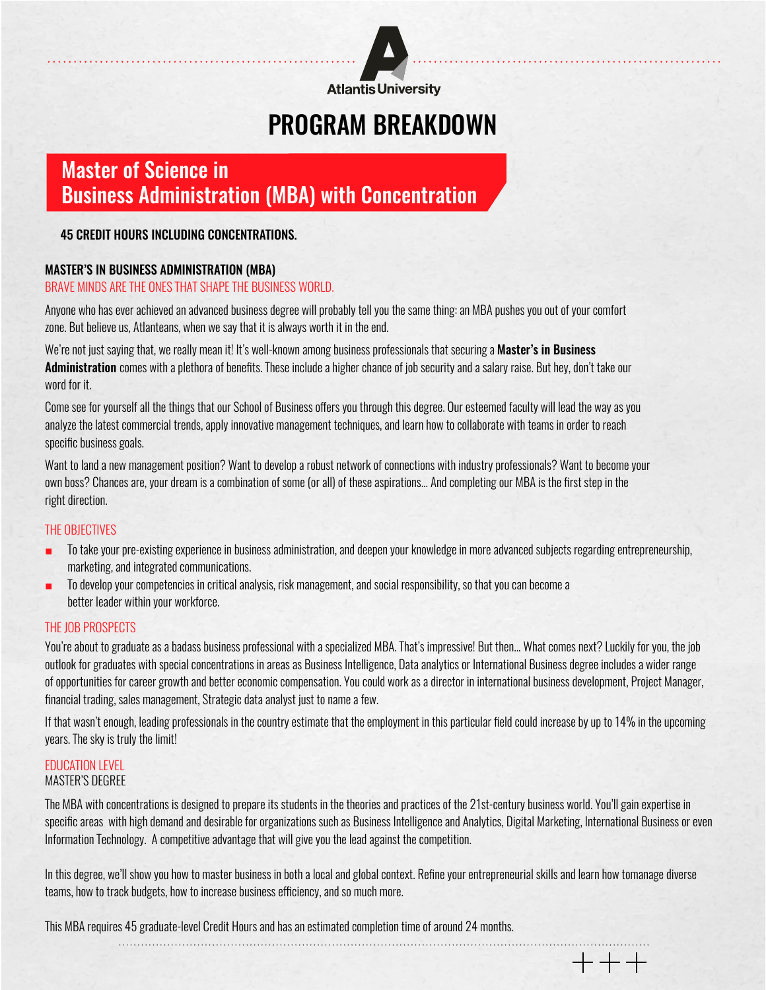

# PROGRAM BREAKDOWN

### Master of Science in Business Administration (MBA) with Concentration

#### 45 credit hours including Concentrations.

#### MASTER'S IN BUSINESS ADMINISTRATION (MBA)

#### BRAVE MINDS ARE THE ONES THAT SHAPE THE BUSINESS WORLD.

Anyone who has ever achieved an advanced business degree will probably tell you the same thing: an MBA pushes you out of your comfort zone. But believe us, Atlanteans, when we say that it is always worth it in the end.

We're not just saying that, we really mean it! It's well-known among business professionals that securing a Master's in Business Administration comes with a plethora of benefits. These include a higher chance of job security and a salary raise. But hey, don't take our word for it.

Come see for yourself all the things that our School of Business offers you through this degree. Our esteemed faculty will lead the way as you analyze the latest commercial trends, apply innovative management techniques, and learn how to collaborate with teams in order to reach specific business goals.

Want to land a new management position? Want to develop a robust network of connections with industry professionals? Want to become your own boss? Chances are, your dream is a combination of some (or all) of these aspirations... And completing our MBA is the first step in the right direction.

#### THE OBJECTIVES

- To take your pre-existing experience in business administration, and deepen your knowledge in more advanced subjects regarding entrepreneurship, marketing, and integrated communications.
- To develop your competencies in critical analysis, risk management, and social responsibility, so that you can become a better leader within your workforce.

#### THE JOB PROSPECTS

You're about to graduate as a badass business professional with a specialized MBA. That's impressive! But then... What comes next? Luckily for you, the job outlook for graduates with special concentrations in areas as Business Intelligence, Data analytics or International Business degree includes a wider range of opportunities for career growth and better economic compensation. You could work as a director in international business development, Project Manager, financial trading, sales management, Strategic data analyst just to name a few.

If that wasn't enough, leading professionals in the country estimate that the employment in this particular field could increase by up to 14% in the upcoming years. The sky is truly the limit!

#### EDUCATION LEVEL

MASTER'S DEGREE

The MBA with concentrations is designed to prepare its students in the theories and practices of the 21st-century business world. You'll gain expertise in specific areas with high demand and desirable for organizations such as Business Intelligence and Analytics, Digital Marketing, International Business or even Information Technology. A competitive advantage that will give you the lead against the competition.

In this degree, we'll show you how to master business in both a local and global context. Refine your entrepreneurial skills and learn how tomanage diverse teams, how to track budgets, how to increase business efficiency, and so much more.

This MBA requires 45 graduate-level Credit Hours and has an estimated completion time of around 24 months.

 $+++$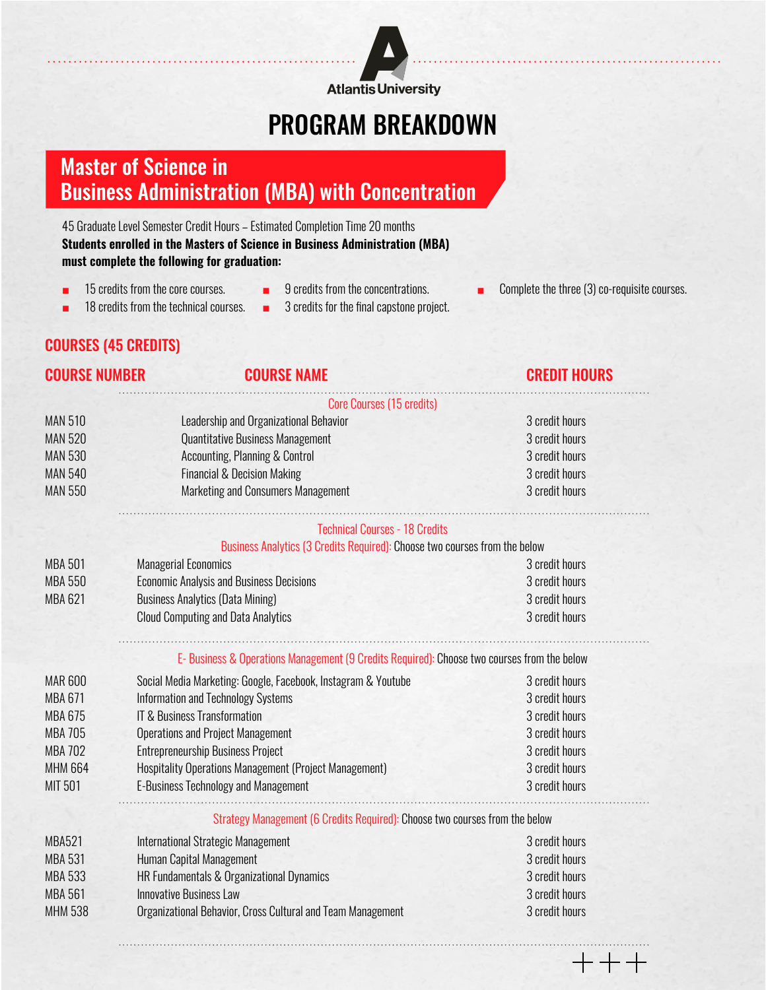

# PROGRAM BREAKDOWN

## Master of Science in Business Administration (MBA) with Concentration

45 Graduate Level Semester Credit Hours – Estimated Completion Time 20 months **Students enrolled in the Masters of Science in Business Administration (MBA) must complete the following for graduation:** 

- 15 credits from the core courses.
- 9 credits from the concentrations.
- Complete the three (3) co-requisite courses.
- 18 credits from the technical courses.
- 3 credits for the final capstone project.
- Courses (45 credits)

| Course Number  | <b>COURSE NAME</b>                                                                         | <b>CREDIT HOURS</b> |
|----------------|--------------------------------------------------------------------------------------------|---------------------|
|                | Core Courses (15 credits)                                                                  |                     |
| <b>MAN 510</b> | Leadership and Organizational Behavior                                                     | 3 credit hours      |
| <b>MAN 520</b> | <b>Quantitative Business Management</b>                                                    | 3 credit hours      |
| <b>MAN 530</b> | Accounting, Planning & Control                                                             | 3 credit hours      |
| <b>MAN 540</b> | <b>Financial &amp; Decision Making</b>                                                     | 3 credit hours      |
| <b>MAN 550</b> | <b>Marketing and Consumers Management</b>                                                  | 3 credit hours      |
|                | <b>Technical Courses - 18 Credits</b>                                                      |                     |
|                | Business Analytics (3 Credits Required): Choose two courses from the below                 |                     |
| MBA 501        | <b>Managerial Economics</b>                                                                | 3 credit hours      |
| <b>MBA 550</b> | <b>Economic Analysis and Business Decisions</b>                                            | 3 credit hours      |
| MBA 621        | <b>Business Analytics (Data Mining)</b>                                                    | 3 credit hours      |
|                | <b>Cloud Computing and Data Analytics</b>                                                  | 3 credit hours      |
|                | E-Business & Operations Management (9 Credits Required): Choose two courses from the below |                     |
| <b>MAR 600</b> | Social Media Marketing: Google, Facebook, Instagram & Youtube                              | 3 credit hours      |
| MBA 671        | <b>Information and Technology Systems</b>                                                  | 3 credit hours      |
| <b>MBA 675</b> | <b>IT &amp; Business Transformation</b>                                                    | 3 credit hours      |
| <b>MBA 705</b> | <b>Operations and Project Management</b>                                                   | 3 credit hours      |
| <b>MBA 702</b> | <b>Entrepreneurship Business Project</b>                                                   | 3 credit hours      |
| <b>MHM 664</b> | <b>Hospitality Operations Management (Project Management)</b>                              | 3 credit hours      |
| MIT 501        | <b>E-Business Technology and Management</b>                                                | 3 credit hours      |
|                | Strategy Management (6 Credits Required): Choose two courses from the below                |                     |
| <b>MBA521</b>  | International Strategic Management                                                         | 3 credit hours      |
| <b>MBA 531</b> | Human Capital Management                                                                   | 3 credit hours      |
| <b>MBA 533</b> | HR Fundamentals & Organizational Dynamics                                                  | 3 credit hours      |
| <b>MBA 561</b> | <b>Innovative Business Law</b>                                                             | 3 credit hours      |
| <b>MHM 538</b> | Organizational Behavior, Cross Cultural and Team Management                                | 3 credit hours      |